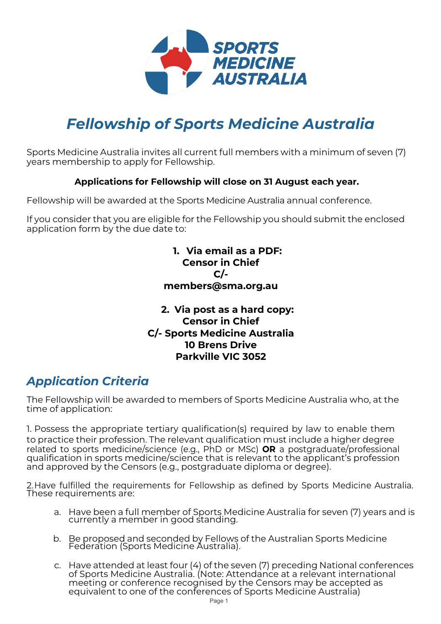

# *Fellowship of Sports Medicine Australia*

Sports Medicine Australia invites all current full members with a minimum of seven (7) years membership to apply for Fellowship.

### **Applications for Fellowship will close on 31 August each year.**

Fellowship will be awarded at the Sports Medicine Australia annual conference.

If you consider that you are eligible for the Fellowship you should submit the enclosed application form by the due date to:

### **1. Via email as a PDF: Censor in Chief C/ members@sma.org.au**

### **2. Via post as a hard copy: Censor in Chief C/- Sports Medicine Australia 10 Brens Drive Parkville VIC 3052**

# *Application Criteria*

The Fellowship will be awarded to members of Sports Medicine Australia who, at the time of application:

1. Possess the appropriate tertiary qualification(s) required by law to enable them to practice their profession. The relevant qualification must include a higher degree related to sports medicine/science (e.g., PhD or MSc) **OR** a postgraduate/professional qualification in sports medicine/science that is relevant to the applicant's profession and approved by the Censors (e.g., postgraduate diploma or degree).

2.Have fulfilled the requirements for Fellowship as defined by Sports Medicine Australia. These requirements are:

- a. Have been a full member of Sports Medicine Australia for seven (7) years and is currently a member in good standing.
- b. Be proposed and seconded by Fellows of the Australian Sports Medicine Federation (Sports Medicine Australia).
- c. Have attended at least four (4) of the seven (7) preceding National conferences of Sports Medicine Australia. (Note: Attendance at a relevant international meeting or conference recognised by the Censors may be accepted as equivalent to one of the conferences of Sports Medicine Australia)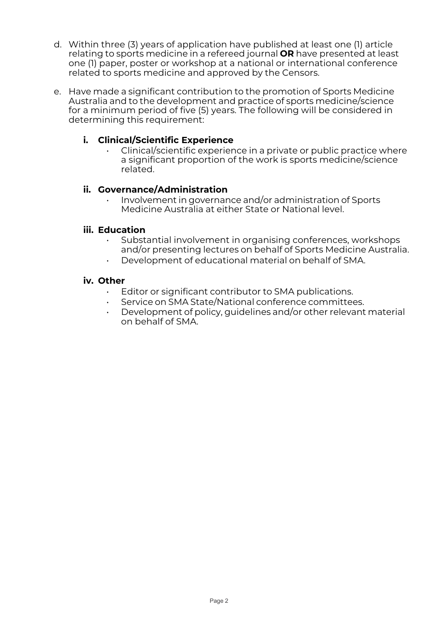- d. Within three (3) years of application have published at least one (1) article relating to sports medicine in a refereed journal **OR** have presented at least one (1) paper, poster or workshop at a national or international conference related to sports medicine and approved by the Censors.
- e. Have made a significant contribution to the promotion of Sports Medicine Australia and to the development and practice of sports medicine/science for a minimum period of five (5) years. The following will be considered in determining this requirement:

### **i. Clinical/Scientific Experience**

• Clinical/scientific experience in a private or public practice where a significant proportion of the work is sports medicine/science related.

### **ii. Governance/Administration**

• Involvement in governance and/or administration of Sports Medicine Australia at either State or National level.

#### **iii. Education**

- Substantial involvement in organising conferences, workshops and/or presenting lectures on behalf of Sports Medicine Australia.
- Development of educational material on behalf of SMA.

#### **iv. Other**

- Editor or significant contributor to SMA publications.
- Service on SMA State/National conference committees.
- Development of policy, guidelines and/or other relevant material on behalf of SMA.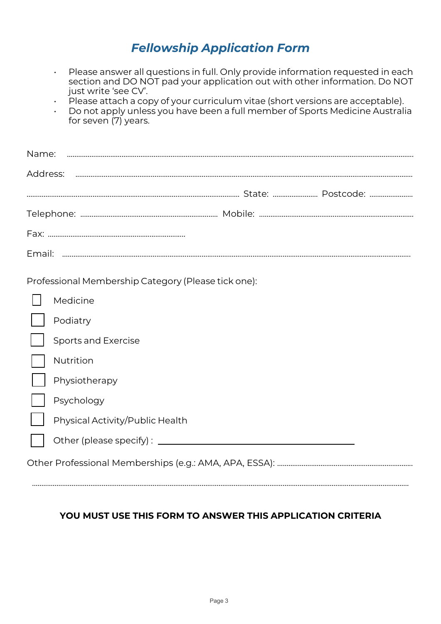### *Fellowship Application Form*

- Please answer all questions in full. Only provide information requested in each section and DO NOT pad your application out with other information. Do NOT just write 'see CV'.
- $\cdot$  Please attach a copy of your curriculum vitae (short versions are acceptable).
- Do not apply unless you have been a full member of Sports Medicine Australia for seven (7) years.

| Name:                                               |  |
|-----------------------------------------------------|--|
| Address:                                            |  |
|                                                     |  |
|                                                     |  |
|                                                     |  |
|                                                     |  |
| Professional Membership Category (Please tick one): |  |
| Medicine                                            |  |
| Podiatry                                            |  |
| Sports and Exercise                                 |  |
| Nutrition                                           |  |
| Physiotherapy                                       |  |
| Psychology                                          |  |
| Physical Activity/Public Health                     |  |
| Other (please specify): _______                     |  |
|                                                     |  |
|                                                     |  |

### **YOU MUST USE THIS FORM TO ANSWER THIS APPLICATION CRITERIA**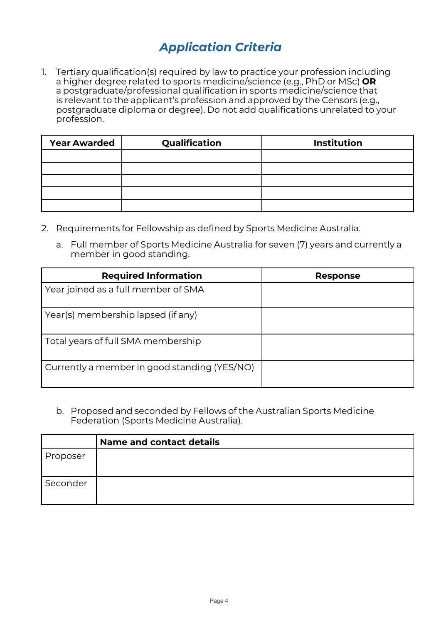# *Application Criteria*

1. Tertiary qualification(s) required by law to practice your profession including a higher degree related to sports medicine/science (e.g., PhD or MSc) **OR** a postgraduate/professional qualification in sports medicine/science that is relevant to the applicant's profession and approved by the Censors (e.g., postgraduate diploma or degree). Do not add qualifications unrelated to your profession.

| <b>Year Awarded</b> | Qualification | <b>Institution</b> |
|---------------------|---------------|--------------------|
|                     |               |                    |
|                     |               |                    |
|                     |               |                    |
|                     |               |                    |
|                     |               |                    |

- 2. Requirements for Fellowship as defined by Sports Medicine Australia.
	- a. Full member of Sports Medicine Australia for seven (7) years and currently a member in good standing.

| <b>Required Information</b>                  | <b>Response</b> |
|----------------------------------------------|-----------------|
| Year joined as a full member of SMA          |                 |
| Year(s) membership lapsed (if any)           |                 |
| Total years of full SMA membership           |                 |
| Currently a member in good standing (YES/NO) |                 |

b. Proposed and seconded by Fellows of the Australian Sports Medicine Federation (Sports Medicine Australia).

|          | <b>Name and contact details</b> |
|----------|---------------------------------|
| Proposer |                                 |
| Seconder |                                 |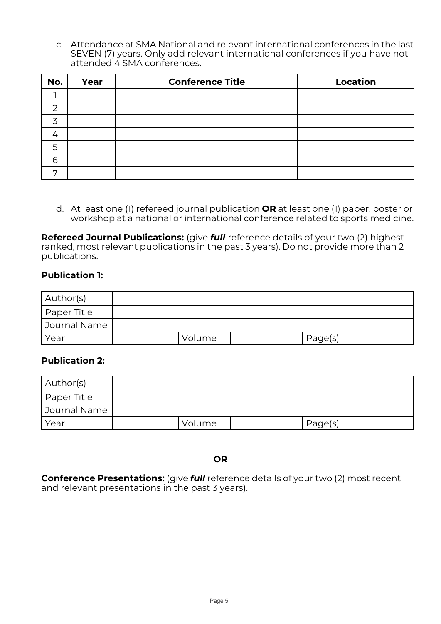c. Attendance at SMA National and relevant international conferences in the last SEVEN (7) years. Only add relevant international conferences if you have not attended 4 SMA conferences.

| No.      | Year | <b>Conference Title</b> | <b>Location</b> |
|----------|------|-------------------------|-----------------|
|          |      |                         |                 |
|          |      |                         |                 |
|          |      |                         |                 |
| $\prime$ |      |                         |                 |
| 5        |      |                         |                 |
| 6        |      |                         |                 |
| ⇁        |      |                         |                 |

d. At least one (1) refereed journal publication **OR** at least one (1) paper, poster or workshop at a national or international conference related to sports medicine.

**Refereed Journal Publications:** (give *full* reference details of your two (2) highest ranked, most relevant publications in the past 3 years). Do not provide more than 2 publications.

#### **Publication 1:**

| Author(s)     |        |         |
|---------------|--------|---------|
| I Paper Title |        |         |
| Journal Name  |        |         |
| Year          | Volume | Page(s) |

### **Publication 2:**

| Author(s)     |        |         |  |
|---------------|--------|---------|--|
| I Paper Title |        |         |  |
| Journal Name  |        |         |  |
| Year          | Volume | Page(s) |  |

**OR**

**Conference Presentations:** (give *full* reference details of your two (2) most recent and relevant presentations in the past 3 years).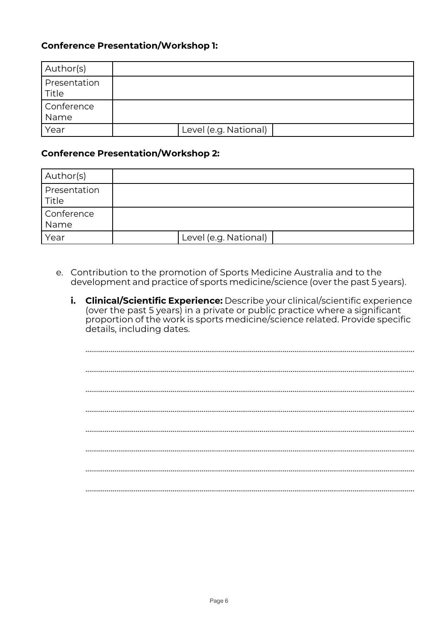### **Conference Presentation/Workshop 1:**

| Author(s)             |                       |  |
|-----------------------|-----------------------|--|
| Presentation<br>Title |                       |  |
| Conference<br>Name    |                       |  |
| Year                  | Level (e.g. National) |  |

### **Conference Presentation/Workshop 2:**

| Author(s)             |                       |  |
|-----------------------|-----------------------|--|
| Presentation<br>Title |                       |  |
| Conference<br>Name    |                       |  |
| Year                  | Level (e.g. National) |  |

- e. Contribution to the promotion of Sports Medicine Australia and to the development and practice of sports medicine/science (over the past 5 years).
	- i. Clinical/Scientific Experience: Describe your clinical/scientific experience (over the past 5 years) in a private or public practice where a significant proportion of the work is sports medicine/science related. Provide specific details, including dates.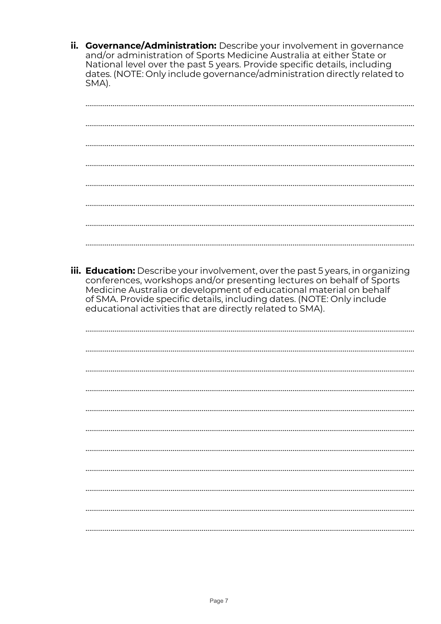ii. **Governance/Administration:** Describe your involvement in governance and/or administration of Sports Medicine Australia at either State or<br>National level over the past 5 years. Provide specific details, including<br>dates. (NOTE: Only include governance/administration directly related to SMA).

| iii. Education: Describe your involvement, over the past 5 years, in organizing<br>conferences, workshops and/or presenting lectures on behalf of Sports<br>Medicine Australia or development of educational material on behalf<br>of SMA. Provide specific details, including dates. (NOTE: Only include<br>educational activities that are directly related to SMA). |
|------------------------------------------------------------------------------------------------------------------------------------------------------------------------------------------------------------------------------------------------------------------------------------------------------------------------------------------------------------------------|
|                                                                                                                                                                                                                                                                                                                                                                        |
|                                                                                                                                                                                                                                                                                                                                                                        |
|                                                                                                                                                                                                                                                                                                                                                                        |
|                                                                                                                                                                                                                                                                                                                                                                        |
|                                                                                                                                                                                                                                                                                                                                                                        |
|                                                                                                                                                                                                                                                                                                                                                                        |
|                                                                                                                                                                                                                                                                                                                                                                        |
|                                                                                                                                                                                                                                                                                                                                                                        |
|                                                                                                                                                                                                                                                                                                                                                                        |
|                                                                                                                                                                                                                                                                                                                                                                        |
|                                                                                                                                                                                                                                                                                                                                                                        |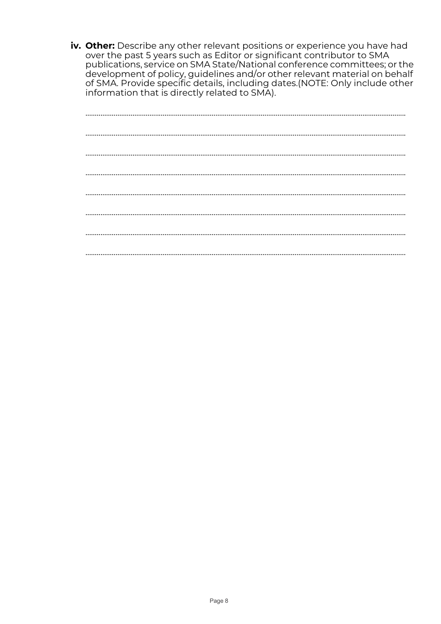iv. Other: Describe any other relevant positions or experience you have had over the past 5 years such as Editor or significant contributor to SMA publications, service on SMA State/National conference committees; or the development of policy, guidelines and/or other relevant material on behalf<br>of SMA. Provide specific details, including dates.(NOTE: Only include other<br>information that is directly related to SMA).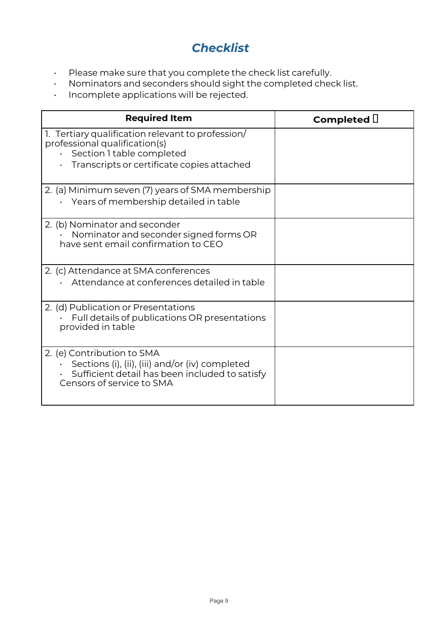## *Checklist*

- Please make sure that you complete the check list carefully.
- Nominators and seconders should sight the completed check list.
- Incomplete applications will be rejected.

| <b>Required Item</b>                                                                                                                                                 | Completed $\Box$ |
|----------------------------------------------------------------------------------------------------------------------------------------------------------------------|------------------|
| 1. Tertiary qualification relevant to profession/<br>professional qualification(s)<br>· Section 1 table completed<br>Transcripts or certificate copies attached      |                  |
| 2. (a) Minimum seven (7) years of SMA membership<br>• Years of membership detailed in table                                                                          |                  |
| 2. (b) Nominator and seconder<br>Nominator and seconder signed forms OR<br>have sent email confirmation to CEO                                                       |                  |
| 2. (c) Attendance at SMA conferences<br>Attendance at conferences detailed in table                                                                                  |                  |
| 2. (d) Publication or Presentations<br>Full details of publications OR presentations<br>provided in table                                                            |                  |
| 2. (e) Contribution to SMA<br>$\cdot$ Sections (i), (ii), (iii) and/or (iv) completed<br>Sufficient detail has been included to satisfy<br>Censors of service to SMA |                  |